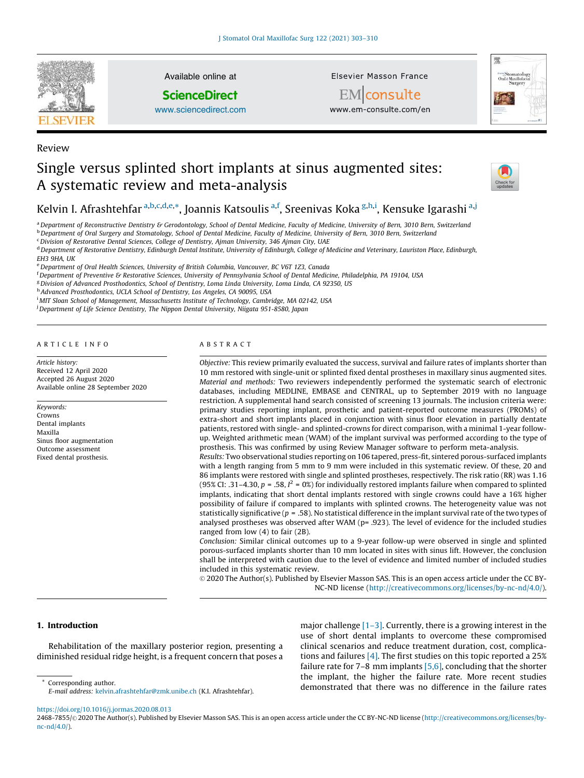

Available online at

**ScienceDirect** 

[www.sciencedirect.com](http://www.sciencedirect.com/science/journal/24687855)

Elsevier Masson France



EMconsulte www.em-consulte.com/en

# Single versus splinted short implants at sinus augmented sites: A systematic review and meta-analysis



# Kelvin I. Afrashtehfar <sup>a,b,c,d,e,\*</sup>, Joannis Katsoulis <sup>a,f</sup>, Sreenivas Koka <sup>g,h,i</sup>, Kensuke Igarashi <sup>a,j</sup>

<sup>a</sup> Department of Reconstructive Dentistry & Gerodontology, School of Dental Medicine, Faculty of Medicine, University of Bern, 3010 Bern, Switzerland

<sup>b</sup> Department of Oral Surgery and Stomatology, School of Dental Medicine, Faculty of Medicine, University of Bern, 3010 Bern, Switzerland

<sup>c</sup>*Division of Restorative Dental Sciences, College of Dentistry, Ajman University, 346 Ajman City, UAE*

<sup>d</sup> Department of Restorative Dentistry, Edinburgh Dental Institute, University of Edinburgh, College of Medicine and Veterinary, Lauriston Place, Edinburgh,

*EH3 9HA, UK*

Review

<sup>e</sup>*Department of Oral Health Sciences, University of British Columbia, Vancouver, BC V6T 1Z3, Canada*

<sup>f</sup> Department of Preventive & Restorative Sciences, University of Pennsylvania School of Dental Medicine, Philadelphia, PA 19104, USA

<sup>g</sup>*Division of Advanced Prosthodontics, School of Dentistry, Loma Linda University, Loma Linda, CA 92350, US*

h *Advanced Prosthodontics, UCLA School of Dentistry, Los Angeles, CA 90095, USA*

<sup>i</sup> *MIT Sloan School of Management, Massachusetts Institute of Technology, Cambridge, MA 02142, USA*

<sup>j</sup>*Department of Life Science Dentistry, The Nippon Dental University, Niigata 951-8580, Japan*

#### A R T I C L E I N F O

*Article history:* Received 12 April 2020 Accepted 26 August 2020 Available online 28 September 2020

*Keywords:* Crowns Dental implants Maxilla Sinus floor augmentation Outcome assessment Fixed dental prosthesis.

#### A B S T R A C T

*Objective:* This review primarily evaluated the success, survival and failure rates of implants shorter than 10 mm restored with single-unit or splinted fixed dental prostheses in maxillary sinus augmented sites. *Material and methods:* Two reviewers independently performed the systematic search of electronic databases, including MEDLINE, EMBASE and CENTRAL, up to September 2019 with no language restriction. A supplemental hand search consisted of screening 13 journals. The inclusion criteria were: primary studies reporting implant, prosthetic and patient-reported outcome measures (PROMs) of extra-short and short implants placed in conjunction with sinus floor elevation in partially dentate patients, restored with single- and splinted-crowns for direct comparison, with a minimal 1-year followup. Weighted arithmetic mean (WAM) of the implant survival was performed according to the type of prosthesis. This was confirmed by using Review Manager software to perform meta-analysis.

*Results:* Two observational studies reporting on 106 tapered, press-fit, sintered porous-surfaced implants with a length ranging from 5 mm to 9 mm were included in this systematic review. Of these, 20 and 86 implants were restored with single and splinted prostheses, respectively. The risk ratio (RR) was 1.16 (95% CI: .31–4.30,  $p = .58$ ,  $I^2 = 0\%$ ) for individually restored implants failure when compared to splinted implants, indicating that short dental implants restored with single crowns could have a 16% higher possibility of failure if compared to implants with splinted crowns. The heterogeneity value was not statistically significative ( $p = .58$ ). No statistical difference in the implant survival rate of the two types of analysed prostheses was observed after WAM (p= .923). The level of evidence for the included studies ranged from low (4) to fair (2B).

*Conclusion:* Similar clinical outcomes up to a 9-year follow-up were observed in single and splinted porous-surfaced implants shorter than 10 mm located in sites with sinus lift. However, the conclusion shall be interpreted with caution due to the level of evidence and limited number of included studies included in this systematic review.

© 2020 The Author(s). Published by Elsevier Masson SAS. This is an open access article under the CC BY-NC-ND license (<http://creativecommons.org/licenses/by-nc-nd/4.0/>).

# 1. Introduction

Rehabilitation of the maxillary posterior region, presenting a diminished residual ridge height, is a frequent concern that poses a

major challenge [\[1–3\]](#page-6-0). Currently, there is a growing interest in the use of short dental implants to overcome these compromised clinical scenarios and reduce treatment duration, cost, complications and failures [\[4\]](#page-6-0). The first studies on this topic reported a 25% failure rate for  $7-8$  mm implants  $[5,6]$ , concluding that the shorter the implant, the higher the failure rate. More recent studies demonstrated that there was no difference in the failure rates

\* Corresponding author.

<https://doi.org/10.1016/j.jormas.2020.08.013>

*E-mail address:* [kelvin.afrashtehfar@zmk.unibe.ch](mailto:kelvin.afrashtehfar@zmk.unibe.ch) (K.I. Afrashtehfar).

<sup>2468-7855/© 2020</sup> The Author(s). Published by Elsevier Masson SAS. This is an open access article under the CC BY-NC-ND license [\(http://creativecommons.org/licenses/by](http://creativecommons.org/licenses/by-nc-nd/4.0/)[nc-nd/4.0/](http://creativecommons.org/licenses/by-nc-nd/4.0/)).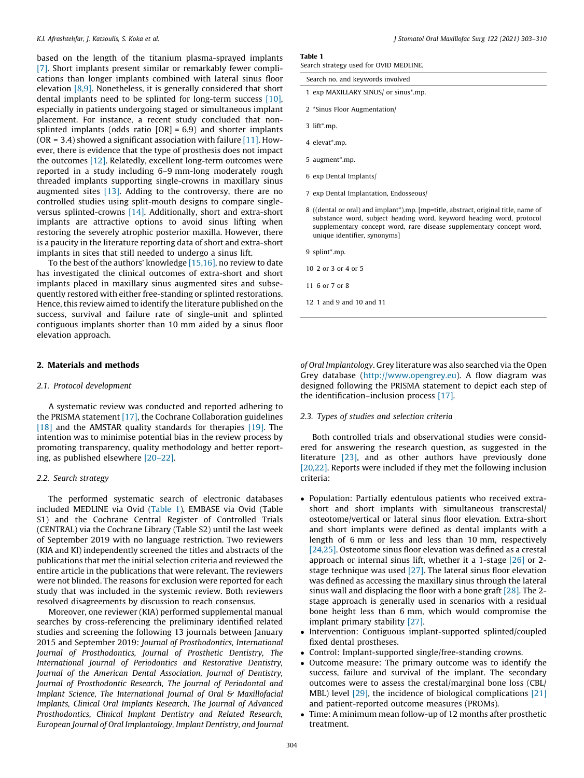<span id="page-1-0"></span>based on the length of the titanium plasma-sprayed implants [\[7\]](#page-7-0). Short implants present similar or remarkably fewer complications than longer implants combined with lateral sinus floor elevation [\[8,9\]](#page-7-0). Nonetheless, it is generally considered that short dental implants need to be splinted for long-term success [\[10\],](#page-7-0) especially in patients undergoing staged or simultaneous implant placement. For instance, a recent study concluded that nonsplinted implants (odds ratio  $[OR] = 6.9$ ) and shorter implants (OR = 3.4) showed a significant association with failure  $[11]$ . However, there is evidence that the type of prosthesis does not impact the outcomes [\[12\].](#page-7-0) Relatedly, excellent long-term outcomes were reported in a study including 6–9 mm-long moderately rough threaded implants supporting single-crowns in maxillary sinus augmented sites [\[13\].](#page-7-0) Adding to the controversy, there are no controlled studies using split-mouth designs to compare singleversus splinted-crowns [\[14\].](#page-7-0) Additionally, short and extra-short implants are attractive options to avoid sinus lifting when restoring the severely atrophic posterior maxilla. However, there is a paucity in the literature reporting data of short and extra-short implants in sites that still needed to undergo a sinus lift.

To the best of the authors' knowledge  $[15,16]$ , no review to date has investigated the clinical outcomes of extra-short and short implants placed in maxillary sinus augmented sites and subsequently restored with either free-standing or splinted restorations. Hence, this review aimed to identify the literature published on the success, survival and failure rate of single-unit and splinted contiguous implants shorter than 10 mm aided by a sinus floor elevation approach.

# 2. Materials and methods

# *2.1. Protocol development*

A systematic review was conducted and reported adhering to the PRISMA statement [\[17\]](#page-7-0), the Cochrane Collaboration guidelines [\[18\]](#page-7-0) and the AMSTAR quality standards for therapies [\[19\].](#page-7-0) The intention was to minimise potential bias in the review process by promoting transparency, quality methodology and better reporting, as published elsewhere [\[20–22\]](#page-7-0).

# *2.2. Search strategy*

The performed systematic search of electronic databases included MEDLINE via Ovid (Table 1), EMBASE via Ovid (Table S1) and the Cochrane Central Register of Controlled Trials (CENTRAL) via the Cochrane Library (Table S2) until the last week of September 2019 with no language restriction. Two reviewers (KIA and KI) independently screened the titles and abstracts of the publications that met the initial selection criteria and reviewed the entire article in the publications that were relevant. The reviewers were not blinded. The reasons for exclusion were reported for each study that was included in the systemic review. Both reviewers resolved disagreements by discussion to reach consensus.

Moreover, one reviewer (KIA) performed supplemental manual searches by cross-referencing the preliminary identified related studies and screening the following 13 journals between January 2015 and September 2019: *Journal of Prosthodontics, International Journal of Prosthodontics, Journal of Prosthetic Dentistry, The International Journal of Periodontics and Restorative Dentistry, Journal of the American Dental Association, Journal of Dentistry, Journal of Prosthodontic Research, The Journal of Periodontal and Implant Science, The International Journal of Oral & Maxillofacial Implants, Clinical Oral Implants Research, The Journal of Advanced Prosthodontics, Clinical Implant Dentistry and Related Research, European Journal of Oral Implantology, Implant Dentistry, and Journal*

# Table 1

Search strategy used for OVID MEDLINE.

| Search no. and keywords involved     |  |
|--------------------------------------|--|
| 1 exp MAXILLARY SINUS/ or sinus*.mp. |  |

- 2 \*Sinus Floor Augmentation/
- 3 lift\*.mp.
- 4 elevat\*.mp.
- 5 augment\*.mp.
- 6 exp Dental Implants/
- 7 exp Dental Implantation, Endosseous/
- 8 ((dental or oral) and implant\*).mp. [mp=title, abstract, original title, name of substance word, subject heading word, keyword heading word, protocol supplementary concept word, rare disease supplementary concept word, unique identifier, synonyms]
- 9 splint\*.mp.
- 10 2 or 3 or 4 or 5
- 11 6 or 7 or 8
- 12 1 and 9 and 10 and 11

*of Oral Implantology*. Grey literature was also searched via the Open Grey database ([http://www.opengrey.eu\)](http://www.opengrey.eu). A flow diagram was designed following the PRISMA statement to depict each step of the identification–inclusion process [\[17\]](#page-7-0).

#### *2.3. Types of studies and selection criteria*

Both controlled trials and observational studies were considered for answering the research question, as suggested in the literature [\[23\]](#page-7-0), and as other authors have previously done [\[20,22\].](#page-7-0) Reports were included if they met the following inclusion criteria:

- Population: Partially edentulous patients who received extrashort and short implants with simultaneous transcrestal/ osteotome/vertical or lateral sinus floor elevation. Extra-short and short implants were defined as dental implants with a length of 6 mm or less and less than 10 mm, respectively [\[24,25\].](#page-7-0) Osteotome sinus floor elevation was defined as a crestal approach or internal sinus lift, whether it a 1-stage [\[26\]](#page-7-0) or 2 stage technique was used [\[27\]](#page-7-0). The lateral sinus floor elevation was defined as accessing the maxillary sinus through the lateral sinus wall and displacing the floor with a bone graft [\[28\].](#page-7-0) The 2 stage approach is generally used in scenarios with a residual bone height less than 6 mm, which would compromise the implant primary stability [\[27\]](#page-7-0).
- Intervention: Contiguous implant-supported splinted/coupled fixed dental prostheses.
- Control: Implant-supported single/free-standing crowns.
- Outcome measure: The primary outcome was to identify the success, failure and survival of the implant. The secondary outcomes were to assess the crestal/marginal bone loss (CBL/ MBL) level [\[29\]](#page-7-0), the incidence of biological complications [\[21\]](#page-7-0) and patient-reported outcome measures (PROMs).
- Time: A minimum mean follow-up of 12 months after prosthetic treatment.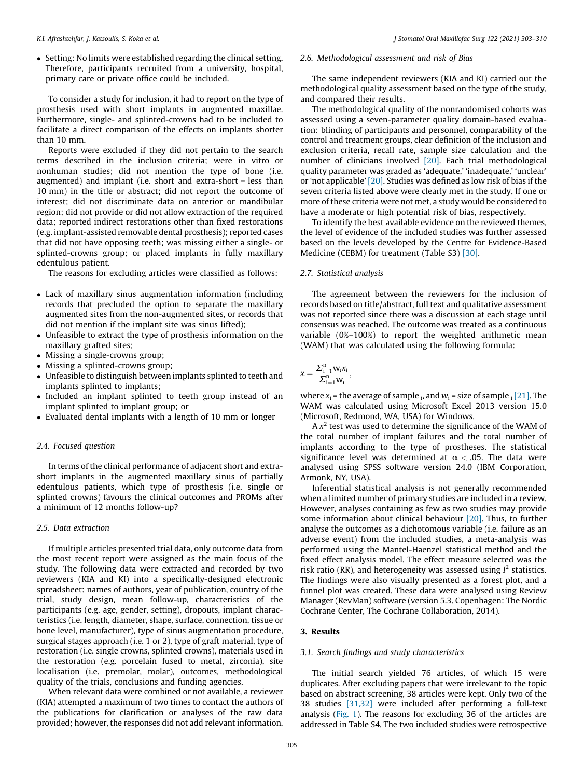• Setting: No limits were established regarding the clinical setting. Therefore, participants recruited from a university, hospital, primary care or private office could be included.

To consider a study for inclusion, it had to report on the type of prosthesis used with short implants in augmented maxillae. Furthermore, single- and splinted-crowns had to be included to facilitate a direct comparison of the effects on implants shorter than 10 mm.

Reports were excluded if they did not pertain to the search terms described in the inclusion criteria; were in vitro or nonhuman studies; did not mention the type of bone (i.e. augmented) and implant (i.e. short and extra-short = less than 10 mm) in the title or abstract; did not report the outcome of interest; did not discriminate data on anterior or mandibular region; did not provide or did not allow extraction of the required data; reported indirect restorations other than fixed restorations (e.g. implant-assisted removable dental prosthesis); reported cases that did not have opposing teeth; was missing either a single- or splinted-crowns group; or placed implants in fully maxillary edentulous patient.

The reasons for excluding articles were classified as follows:

- Lack of maxillary sinus augmentation information (including records that precluded the option to separate the maxillary augmented sites from the non-augmented sites, or records that did not mention if the implant site was sinus lifted);
- Unfeasible to extract the type of prosthesis information on the maxillary grafted sites;
- Missing a single-crowns group;
- Missing a splinted-crowns group;
- Unfeasible to distinguish between implants splinted to teeth and implants splinted to implants;
- Included an implant splinted to teeth group instead of an implant splinted to implant group; or
- Evaluated dental implants with a length of 10 mm or longer

# *2.4. Focused question*

In terms of the clinical performance of adjacent short and extrashort implants in the augmented maxillary sinus of partially edentulous patients, which type of prosthesis (i.e. single or splinted crowns) favours the clinical outcomes and PROMs after a minimum of 12 months follow-up?

# *2.5. Data extraction*

If multiple articles presented trial data, only outcome data from the most recent report were assigned as the main focus of the study. The following data were extracted and recorded by two reviewers (KIA and KI) into a specifically-designed electronic spreadsheet: names of authors, year of publication, country of the trial, study design, mean follow-up, characteristics of the participants (e.g. age, gender, setting), dropouts, implant characteristics (i.e. length, diameter, shape, surface, connection, tissue or bone level, manufacturer), type of sinus augmentation procedure, surgical stages approach (i.e. 1 or 2), type of graft material, type of restoration (i.e. single crowns, splinted crowns), materials used in the restoration (e.g. porcelain fused to metal, zirconia), site localisation (i.e. premolar, molar), outcomes, methodological quality of the trials, conclusions and funding agencies.

When relevant data were combined or not available, a reviewer (KIA) attempted a maximum of two times to contact the authors of the publications for clarification or analyses of the raw data provided; however, the responses did not add relevant information.

# *2.6. Methodological assessment and risk of Bias*

The same independent reviewers (KIA and KI) carried out the methodological quality assessment based on the type of the study, and compared their results.

The methodological quality of the nonrandomised cohorts was assessed using a seven-parameter quality domain-based evaluation: blinding of participants and personnel, comparability of the control and treatment groups, clear definition of the inclusion and exclusion criteria, recall rate, sample size calculation and the number of clinicians involved [\[20\]](#page-7-0). Each trial methodological quality parameter was graded as 'adequate,' 'inadequate,' 'unclear' or 'not applicable' [\[20\].](#page-7-0) Studies was defined as low risk of bias if the seven criteria listed above were clearly met in the study. If one or more of these criteria were not met, a study would be considered to have a moderate or high potential risk of bias, respectively.

To identify the best available evidence on the reviewed themes, the level of evidence of the included studies was further assessed based on the levels developed by the Centre for Evidence-Based Medicine (CEBM) for treatment (Table S3) [\[30\].](#page-7-0)

#### *2.7. Statistical analysis*

The agreement between the reviewers for the inclusion of records based on title/abstract, full text and qualitative assessment was not reported since there was a discussion at each stage until consensus was reached. The outcome was treated as a continuous variable (0%–100%) to report the weighted arithmetic mean (WAM) that was calculated using the following formula:

$$
x=\frac{\sum_{i=1}^n w_i x_i}{\sum_{i=1}^n w_i},
$$

where  $x_i$  = the average of sample  $_i$ , and  $w_i$  = size of sample  $_i$  [\[21\]](#page-7-0). The WAM was calculated using Microsoft Excel 2013 version 15.0 (Microsoft, Redmond, WA, USA) for Windows.

A *x* 2 test was used to determine the significance of the WAM of the total number of implant failures and the total number of implants according to the type of prostheses. The statistical significance level was determined at  $\alpha < .05$ . The data were analysed using SPSS software version 24.0 (IBM Corporation, Armonk, NY, USA).

Inferential statistical analysis is not generally recommended when a limited number of primary studies are included in a review. However, analyses containing as few as two studies may provide some information about clinical behaviour [\[20\]](#page-7-0). Thus, to further analyse the outcomes as a dichotomous variable (i.e. failure as an adverse event) from the included studies, a meta-analysis was performed using the Mantel-Haenzel statistical method and the fixed effect analysis model. The effect measure selected was the risk ratio (RR), and heterogeneity was assessed using  $I<sup>2</sup>$  statistics. The findings were also visually presented as a forest plot, and a funnel plot was created. These data were analysed using Review Manager (RevMan) software (version 5.3. Copenhagen: The Nordic Cochrane Center, The Cochrane Collaboration, 2014).

#### 3. Results

# *3.1. Search findings and study characteristics*

The initial search yielded 76 articles, of which 15 were duplicates. After excluding papers that were irrelevant to the topic based on abstract screening, 38 articles were kept. Only two of the 38 studies [\[31,32\]](#page-7-0) were included after performing a full-text analysis [\(Fig.](#page-3-0) 1). The reasons for excluding 36 of the articles are addressed in Table S4. The two included studies were retrospective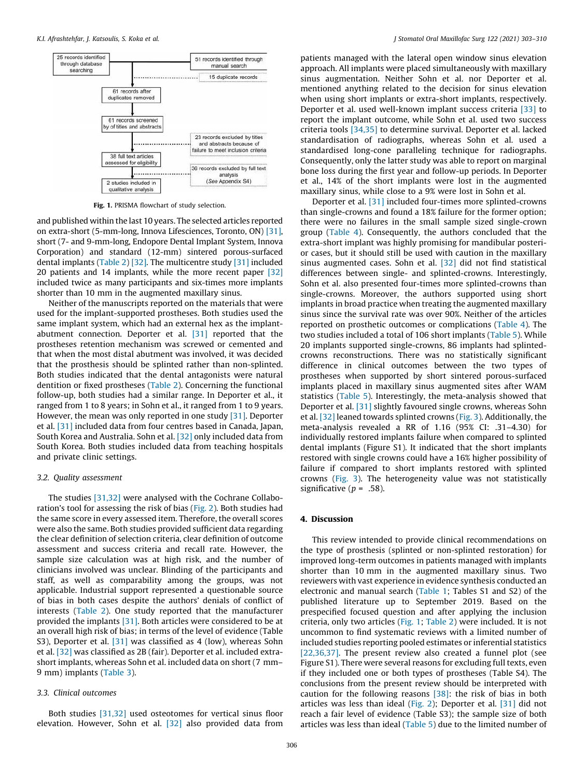<span id="page-3-0"></span>

Fig. 1. PRISMA flowchart of study selection.

and published within the last 10 years. The selected articles reported on extra-short (5-mm-long, Innova Lifesciences, Toronto, ON) [\[31\],](#page-7-0) short (7- and 9-mm-long, Endopore Dental Implant System, Innova Corporation) and standard (12-mm) sintered porous-surfaced dental implants ([Table](#page-4-0) 2) [\[32\]](#page-7-0). The multicentre study [\[31\]](#page-7-0) included 20 patients and 14 implants, while the more recent paper [\[32\]](#page-7-0) included twice as many participants and six-times more implants shorter than 10 mm in the augmented maxillary sinus.

Neither of the manuscripts reported on the materials that were used for the implant-supported prostheses. Both studies used the same implant system, which had an external hex as the implantabutment connection. Deporter et al. [\[31\]](#page-7-0) reported that the prostheses retention mechanism was screwed or cemented and that when the most distal abutment was involved, it was decided that the prosthesis should be splinted rather than non-splinted. Both studies indicated that the dental antagonists were natural dentition or fixed prostheses ([Table](#page-4-0) 2). Concerning the functional follow-up, both studies had a similar range. In Deporter et al., it ranged from 1 to 8 years; in Sohn et al., it ranged from 1 to 9 years. However, the mean was only reported in one study [\[31\].](#page-7-0) Deporter et al. [\[31\]](#page-7-0) included data from four centres based in Canada, Japan, South Korea and Australia. Sohn et al. [\[32\]](#page-7-0) only included data from South Korea. Both studies included data from teaching hospitals and private clinic settings.

### *3.2. Quality assessment*

The studies [\[31,32\]](#page-7-0) were analysed with the Cochrane Collaboration's tool for assessing the risk of bias ([Fig.](#page-4-0) 2). Both studies had the same score in every assessed item. Therefore, the overall scores were also the same. Both studies provided sufficient data regarding the clear definition of selection criteria, clear definition of outcome assessment and success criteria and recall rate. However, the sample size calculation was at high risk, and the number of clinicians involved was unclear. Blinding of the participants and staff, as well as comparability among the groups, was not applicable. Industrial support represented a questionable source of bias in both cases despite the authors' denials of conflict of interests [\(Table](#page-4-0) 2). One study reported that the manufacturer provided the implants [\[31\]](#page-7-0). Both articles were considered to be at an overall high risk of bias; in terms of the level of evidence (Table S3), Deporter et al. [\[31\]](#page-7-0) was classified as 4 (low), whereas Sohn et al. [\[32\]](#page-7-0) was classified as 2B (fair). Deporter et al. included extrashort implants, whereas Sohn et al. included data on short (7 mm– 9 mm) implants ([Table](#page-5-0) 3).

# *3.3. Clinical outcomes*

Both studies [\[31,32\]](#page-7-0) used osteotomes for vertical sinus floor elevation. However, Sohn et al. [\[32\]](#page-7-0) also provided data from patients managed with the lateral open window sinus elevation approach. All implants were placed simultaneously with maxillary sinus augmentation. Neither Sohn et al. nor Deporter et al. mentioned anything related to the decision for sinus elevation when using short implants or extra-short implants, respectively. Deporter et al. used well-known implant success criteria [\[33\]](#page-7-0) to report the implant outcome, while Sohn et al. used two success criteria tools [\[34,35\]](#page-7-0) to determine survival. Deporter et al. lacked standardisation of radiographs, whereas Sohn et al. used a standardised long-cone paralleling technique for radiographs. Consequently, only the latter study was able to report on marginal bone loss during the first year and follow-up periods. In Deporter et al., 14% of the short implants were lost in the augmented maxillary sinus, while close to a 9% were lost in Sohn et al.

Deporter et al. [\[31\]](#page-7-0) included four-times more splinted-crowns than single-crowns and found a 18% failure for the former option; there were no failures in the small sample sized single-crown group [\(Table](#page-5-0) 4). Consequently, the authors concluded that the extra-short implant was highly promising for mandibular posterior cases, but it should still be used with caution in the maxillary sinus augmented cases. Sohn et al. [\[32\]](#page-7-0) did not find statistical differences between single- and splinted-crowns. Interestingly, Sohn et al. also presented four-times more splinted-crowns than single-crowns. Moreover, the authors supported using short implants in broad practice when treating the augmented maxillary sinus since the survival rate was over 90%. Neither of the articles reported on prosthetic outcomes or complications [\(Table](#page-5-0) 4). The two studies included a total of 106 short implants [\(Table](#page-6-0) 5). While 20 implants supported single-crowns, 86 implants had splintedcrowns reconstructions. There was no statistically significant difference in clinical outcomes between the two types of prostheses when supported by short sintered porous-surfaced implants placed in maxillary sinus augmented sites after WAM statistics ([Table](#page-6-0) 5). Interestingly, the meta-analysis showed that Deporter et al. [\[31\]](#page-7-0) slightly favoured single crowns, whereas Sohn et al. [\[32\]](#page-7-0) leaned towards splinted crowns [\(Fig.](#page-6-0) 3). Additionally, the meta-analysis revealed a RR of 1.16 (95% CI: .31–4.30) for individually restored implants failure when compared to splinted dental implants (Figure S1). It indicated that the short implants restored with single crowns could have a 16% higher possibility of failure if compared to short implants restored with splinted crowns [\(Fig.](#page-6-0) 3). The heterogeneity value was not statistically significative ( $p = .58$ ).

# 4. Discussion

This review intended to provide clinical recommendations on the type of prosthesis (splinted or non-splinted restoration) for improved long-term outcomes in patients managed with implants shorter than 10 mm in the augmented maxillary sinus. Two reviewers with vast experience in evidence synthesis conducted an electronic and manual search ([Table](#page-1-0) 1; Tables S1 and S2) of the published literature up to September 2019. Based on the prespecified focused question and after applying the inclusion criteria, only two articles (Fig. 1; [Table](#page-4-0) 2) were included. It is not uncommon to find systematic reviews with a limited number of included studies reporting pooled estimates or inferential statistics [\[22,36,37\]](#page-7-0). The present review also created a funnel plot (see Figure S1). There were several reasons for excluding full texts, even if they included one or both types of prostheses (Table S4). The conclusions from the present review should be interpreted with caution for the following reasons  $[38]$ : the risk of bias in both articles was less than ideal [\(Fig.](#page-4-0) 2); Deporter et al. [\[31\]](#page-7-0) did not reach a fair level of evidence (Table S3); the sample size of both articles was less than ideal ([Table](#page-6-0) 5) due to the limited number of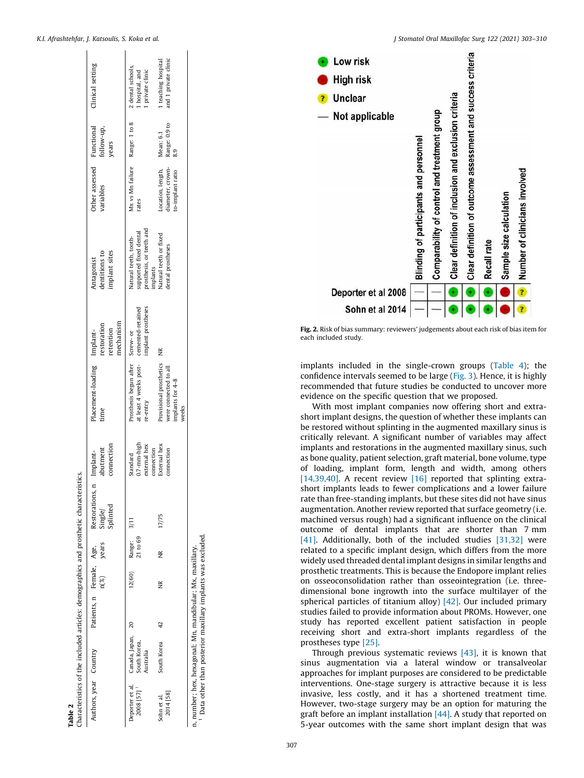<span id="page-4-0"></span>

| Authors, year Country                                                                                                                |                                                                |                 | Patients, n Female, Age,<br>$\rm n(\%)$ | years                          | Restorations,<br>Single/<br>Splinted | connection<br>abutment<br>Implant-                           | Placement-loading Implant-<br>time                                            | mechanism<br>restoration<br>retention   | implant sites<br>dentitions to<br>Antagonist                                           | Other assessed Functional<br>variables                    | follow-up,<br>years                   | Clinical setting                            |
|--------------------------------------------------------------------------------------------------------------------------------------|----------------------------------------------------------------|-----------------|-----------------------------------------|--------------------------------|--------------------------------------|--------------------------------------------------------------|-------------------------------------------------------------------------------|-----------------------------------------|----------------------------------------------------------------------------------------|-----------------------------------------------------------|---------------------------------------|---------------------------------------------|
| 2008 [57] <sup>1</sup>                                                                                                               | Deporter et al. Canada, Japan, 20<br>South Korea,<br>Australia |                 |                                         | 12(60) Range: 3/11<br>21 to 69 |                                      | $0.7$ - $mn$ -high<br>external hex<br>connection<br>Standard | Prosthesis begun after Screw- or<br>at least 4 weeks post-<br>re-entry        | implant prostheses<br>cemented-retained | prosthesis, or teeth and<br>supported fixed dental<br>Natural teeth, tooth-<br>mplants | Mx vs Mn failure Range: 1 to 8 2 dental schools,<br>rates |                                       | 1 hospital, and<br>1 private clinic         |
| 2014 [58]<br>Sohn et al.                                                                                                             | South Korea                                                    | $\overline{42}$ | ž                                       | ž                              | 17/75                                | External hex<br>connection                                   | Provisional prosthetics<br>were connected to all<br>implants for 4-8<br>weeks | ž                                       | Vatural teeth or fixed<br>dental prostheses                                            | Location, length,<br>diameter, crown-<br>o-implant ratio  | Range: 0.9 to<br>Mean: 6.1<br>o.<br>8 | and 1 private clinic<br>1 teaching hospital |
| <sup>1</sup> Data other than posterior maxillary implants was excluded.<br>n, number; hex, hexagonal; Mn, mandibular; Mx, maxillary. |                                                                |                 |                                         |                                |                                      |                                                              |                                                                               |                                         |                                                                                        |                                                           |                                       |                                             |

**Table 2**<br>Characteristics of the included articles: demographics and prosthetic characteristics Characteristics of the included articles: demographics and prosthetic characteristics.

|  |  |  | J Stomatol Oral Maxillofac Surg 122 (2021) 303-310 |  |  |  |  |  |  |
|--|--|--|----------------------------------------------------|--|--|--|--|--|--|
|--|--|--|----------------------------------------------------|--|--|--|--|--|--|



Fig. 2. Risk of bias summary: reviewers' judgements about each risk of bias item for each included study.

implants included in the single-crown groups ([Table](#page-5-0) 4); the confidence intervals seemed to be large [\(Fig.](#page-6-0) 3). Hence, it is highly recommended that future studies be conducted to uncover more evidence on the specific question that we proposed.

With most implant companies now offering short and extrashort implant designs, the question of whether these implants can be restored without splinting in the augmented maxillary sinus is critically relevant. A significant number of variables may affect implants and restorations in the augmented maxillary sinus, such as bone quality, patient selection, graft material, bone volume, type of loading, implant form, length and width, among others [\[14,39,40\]](#page-7-0). A recent review [\[16\]](#page-7-0) reported that splinting extrashort implants leads to fewer complications and a lower failure rate than free-standing implants, but these sites did not have sinus augmentation. Another review reported that surface geometry (i.e. machined versus rough) had a significant influence on the clinical outcome of dental implants that are shorter than 7 mm [\[41\]](#page-7-0). Additionally, both of the included studies [\[31,32\]](#page-7-0) were related to a specific implant design, which differs from the more widely used threaded dental implant designs in similar lengths and prosthetic treatments. This is because the Endopore implant relies on osseoconsolidation rather than osseointegration (i.e. threedimensional bone ingrowth into the surface multilayer of the spherical particles of titanium alloy) [\[42\]](#page-7-0) . Our included primary studies failed to provide information about PROMs. However, one study has reported excellent patient satisfaction in people receiving short and extra-short implants regardless of the prostheses type [\[25\]](#page-7-0) .

Through previous systematic reviews [\[43\]](#page-7-0) , it is known that sinus augmentation via a lateral window or transalveolar approaches for implant purposes are considered to be predictable interventions. One-stage surgery is attractive because it is less invasive, less costly, and it has a shortened treatment time. However, two-stage surgery may be an option for maturing the graft before an implant installation [\[44\]](#page-7-0). A study that reported on 5-year outcomes with the same short implant design that was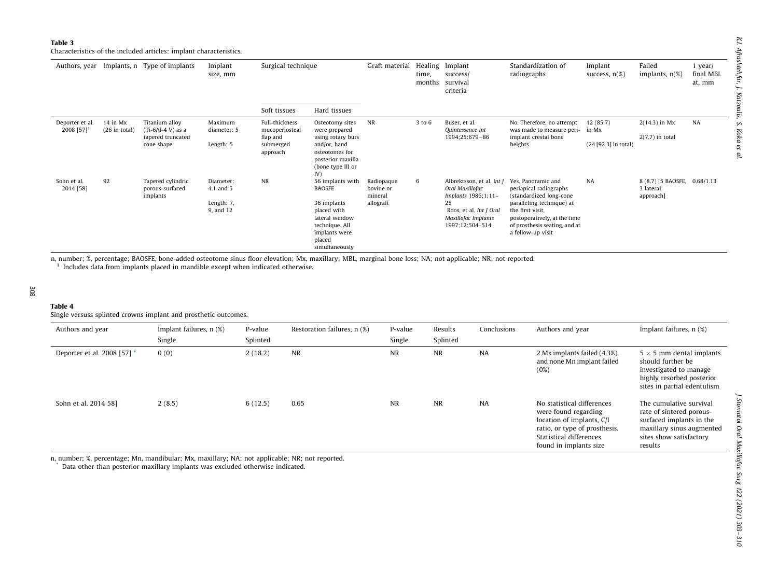<span id="page-5-0"></span>Characteristics of the included articles: implant characteristics.

|                                             |                             | Authors, year Implants, n Type of implants                               | Implant<br>size, mm                               | Surgical technique                                                    |                                                                                                                                                  | Graft material                                  | time,<br>months | Healing Implant<br>success/<br>survival<br>criteria                                                                                            | Standardization of<br>radiographs                                                                                                                                                                              | Implant<br>success, $n(\%)$               | Failed<br>implants, $n(\%)$                            | $1$ year/<br>final MBL<br>at, mm |
|---------------------------------------------|-----------------------------|--------------------------------------------------------------------------|---------------------------------------------------|-----------------------------------------------------------------------|--------------------------------------------------------------------------------------------------------------------------------------------------|-------------------------------------------------|-----------------|------------------------------------------------------------------------------------------------------------------------------------------------|----------------------------------------------------------------------------------------------------------------------------------------------------------------------------------------------------------------|-------------------------------------------|--------------------------------------------------------|----------------------------------|
|                                             |                             |                                                                          |                                                   | Soft tissues                                                          | Hard tissues                                                                                                                                     |                                                 |                 |                                                                                                                                                |                                                                                                                                                                                                                |                                           |                                                        |                                  |
| Deporter et al.<br>2008 $[57]$ <sup>1</sup> | 14 in Mx<br>$(26$ in total) | Titanium alloy<br>$(Ti-6Al-4 V)$ as a<br>tapered truncated<br>cone shape | Maximum<br>diameter: 5<br>Length: 5               | Full-thickness<br>mucoperiosteal<br>flap and<br>submerged<br>approach | Osteotomy sites<br>were prepared<br>using rotary burs<br>and/or, hand<br>osteotomes for<br>posterior maxilla<br>(bone type III or<br>IV)         | NR                                              | 3 to 6          | Buser, et al.<br>Quintessence Int<br>1994;25:679-86                                                                                            | No. Therefore, no attempt<br>was made to measure peri-<br>implant crestal bone<br>heights                                                                                                                      | 12(85.7)<br>in Mx<br>(24 [92.3] in total) | $2(14.3)$ in Mx<br>$2(7.7)$ in total                   | NA                               |
| Sohn et al.<br>2014 [58]                    | 92                          | Tapered cylindric<br>porous-surfaced<br>implants                         | Diameter:<br>4.1 and 5<br>Length: 7,<br>9, and 12 | <b>NR</b>                                                             | 56 implants with<br><b>BAOSFE</b><br>36 implants<br>placed with<br>lateral window<br>technique. All<br>implants were<br>placed<br>simultaneously | Radiopaque<br>bovine or<br>mineral<br>allograft | 6               | Albrektsson, et al. Int J<br>Oral Maxillofac<br>Implants 1986;1:11-<br>25<br>Roos, et al. Int J Oral<br>Maxillofac Implants<br>1997:12:504-514 | Yes, Panoramic and<br>periapical radiographs<br>(standardized long-cone<br>paralleling technique) at<br>the first visit,<br>postoperatively, at the time<br>of prosthesis seating, and at<br>a follow-up visit | <b>NA</b>                                 | 8 (8.7) [5 BAOSFE, 0.68/1.13<br>3 lateral<br>approach] |                                  |

n, number; %, percentage; BAOSFE, bone-added osteotome sinus floor elevation; Mx, maxillary; MBL, marginal bone loss; NA; not applicable; NR; not reported. <sup>1</sup> Includes data from implants placed in mandible except when indicated otherwise.

#### Table 4

Single versuss splinted crowns implant and prosthetic outcomes.

| Authors and year            | Implant failures, $n$ $(\%)$ | P-value  | Restoration failures, n (%) | P-value   | Results   | Conclusions | Authors and year                                                                                                                                                      | Implant failures, n (%)                                                                                                                            |
|-----------------------------|------------------------------|----------|-----------------------------|-----------|-----------|-------------|-----------------------------------------------------------------------------------------------------------------------------------------------------------------------|----------------------------------------------------------------------------------------------------------------------------------------------------|
|                             | Single                       | Splinted |                             | Single    | Splinted  |             |                                                                                                                                                                       |                                                                                                                                                    |
| Deporter et al. 2008 [57] * | 0(0)                         | 2(18.2)  | NR                          | <b>NR</b> | <b>NR</b> | NA          | 2 Mx implants failed (4.3%),<br>and none Mn implant failed<br>(0%)                                                                                                    | $5 \times 5$ mm dental implants<br>should further be<br>investigated to manage<br>highly resorbed posterior<br>sites in partial edentulism         |
| Sohn et al. 2014 58]        | 2(8.5)                       | 6(12.5)  | 0.65                        | <b>NR</b> | <b>NR</b> | NA          | No statistical differences<br>were found regarding<br>location of implants, C/I<br>ratio, or type of prosthesis.<br>Statistical differences<br>found in implants size | The cumulative survival<br>rate of sintered porous-<br>surfaced implants in the<br>maxillary sinus augmented<br>sites show satisfactory<br>results |

n, number; %, percentage; Mn, mandibular; Mx, maxillary; NA; not applicable; NR; not reported.

\* Data other than posterior maxillary implants was excluded otherwise indicated.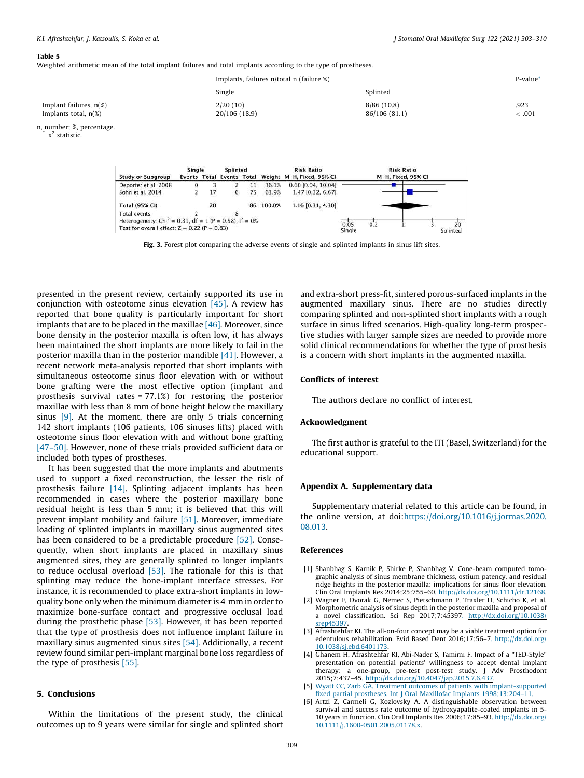#### <span id="page-6-0"></span>Table 5

Weighted arithmetic mean of the total implant failures and total implants according to the type of prostheses.

|                                                      | Implants, failures n/total n (failure %) |                             | P-value*                                         |
|------------------------------------------------------|------------------------------------------|-----------------------------|--------------------------------------------------|
|                                                      | Single                                   | Splinted                    |                                                  |
| Implant failures, $n(\%)$<br>Implants total, $n(\%)$ | 2/20(10)<br>20/106 (18.9)                | 8/86(10.8)<br>86/106 (81.1) | .923<br>$_{\stackrel{<}{\phantom{}_{\sim}}}.001$ |

n, number; %, percentage.

\* x 2 statistic.

|                                                                        | Single |    | Splinted |    |           | <b>Risk Ratio</b>                                   |             | <b>Risk Ratio</b>  |
|------------------------------------------------------------------------|--------|----|----------|----|-----------|-----------------------------------------------------|-------------|--------------------|
| <b>Study or Subgroup</b>                                               |        |    |          |    |           | Events Total Events Total Weight M-H, Fixed, 95% CI |             | M-H. Fixed, 95% CI |
| Deporter et al. 2008                                                   |        |    |          | 11 | 36.1%     | 0.60 [0.04, 10.04]                                  |             |                    |
| Sohn et al. 2014                                                       |        | 17 | 6        | 75 | 63.9%     | 1.47 [0.32, 6.67]                                   |             |                    |
| <b>Total (95% CI)</b>                                                  |        | 20 |          |    | 86 100.0% | 1.16 [0.31, 4.30]                                   |             |                    |
| Total events                                                           |        |    |          |    |           |                                                     |             |                    |
| Heterogeneity: Chi <sup>2</sup> = 0.31, df = 1 (P = 0.58); $I^2 = 0\%$ |        |    |          |    |           |                                                     | 0.05<br>0.2 | $20^{\circ}$       |
| Test for overall effect: $Z = 0.22$ (P = 0.83)                         |        |    |          |    |           |                                                     | Single      | Splinted           |

Fig. 3. Forest plot comparing the adverse events of single and splinted implants in sinus lift sites.

presented in the present review, certainly supported its use in conjunction with osteotome sinus elevation  $[45]$ . A review has reported that bone quality is particularly important for short implants that are to be placed in the maxillae [\[46\].](#page-7-0) Moreover, since bone density in the posterior maxilla is often low, it has always been maintained the short implants are more likely to fail in the posterior maxilla than in the posterior mandible [\[41\]](#page-7-0). However, a recent network meta-analysis reported that short implants with simultaneous osteotome sinus floor elevation with or without bone grafting were the most effective option (implant and prosthesis survival rates = 77.1%) for restoring the posterior maxillae with less than 8 mm of bone height below the maxillary sinus  $[9]$ . At the moment, there are only 5 trials concerning 142 short implants (106 patients, 106 sinuses lifts) placed with osteotome sinus floor elevation with and without bone grafting [\[47–50\].](#page-7-0) However, none of these trials provided sufficient data or included both types of prostheses.

It has been suggested that the more implants and abutments used to support a fixed reconstruction, the lesser the risk of prosthesis failure [\[14\].](#page-7-0) Splinting adjacent implants has been recommended in cases where the posterior maxillary bone residual height is less than 5 mm; it is believed that this will prevent implant mobility and failure [\[51\]](#page-7-0). Moreover, immediate loading of splinted implants in maxillary sinus augmented sites has been considered to be a predictable procedure [\[52\]](#page-7-0). Consequently, when short implants are placed in maxillary sinus augmented sites, they are generally splinted to longer implants to reduce occlusal overload  $[53]$ . The rationale for this is that splinting may reduce the bone-implant interface stresses. For instance, it is recommended to place extra-short implants in lowquality bone only when the minimum diameter is 4 mm in order to maximize bone-surface contact and progressive occlusal load during the prosthetic phase [\[53\].](#page-7-0) However, it has been reported that the type of prosthesis does not influence implant failure in maxillary sinus augmented sinus sites [\[54\]](#page-7-0). Additionally, a recent review found similar peri-implant marginal bone loss regardless of the type of prosthesis [\[55\]](#page-7-0).

# 5. Conclusions

Within the limitations of the present study, the clinical outcomes up to 9 years were similar for single and splinted short and extra-short press-fit, sintered porous-surfaced implants in the augmented maxillary sinus. There are no studies directly comparing splinted and non-splinted short implants with a rough surface in sinus lifted scenarios. High-quality long-term prospective studies with larger sample sizes are needed to provide more solid clinical recommendations for whether the type of prosthesis is a concern with short implants in the augmented maxilla.

# Conflicts of interest

The authors declare no conflict of interest.

# Acknowledgment

The first author is grateful to the ITI (Basel, Switzerland) for the educational support.

# Appendix A. Supplementary data

Supplementary material related to this article can be found, in the online version, at doi[:https://doi.org/10.1016/j.jormas.2020.](https://doi.org/10.1016/j.jormas.2020.08.013) [08.013.](https://doi.org/10.1016/j.jormas.2020.08.013)

# References

- [1] Shanbhag S, Karnik P, Shirke P, Shanbhag V. Cone-beam computed tomographic analysis of sinus membrane thickness, ostium patency, and residual ridge heights in the posterior maxilla: implications for sinus floor elevation. Clin Oral Implants Res 2014;25:755–60[.](http://dx.doi.org/10.1111/clr.12168) <http://dx.doi.org/10.1111/clr.12168>.
- [2] Wagner F, Dvorak G, Nemec S, Pietschmann P, Traxler H, Schicho K, et al. Morphometric analysis of sinus depth in the posterior maxilla and proposal of a novel classification. Sci Rep 2017;7:4539[7.](http://dx.doi.org/10.1038/srep45397) [http://dx.doi.org/10.1038/](http://dx.doi.org/10.1038/srep45397) [srep45397](http://dx.doi.org/10.1038/srep45397).
- [3] Afrashtehfar KI. The all-on-four concept may be a viable treatment option for edentulous rehabilitation. Evid Based Dent 2016;17:56–7[.](http://dx.doi.org/10.1038/sj.ebd.6401173) [http://dx.doi.org/](http://dx.doi.org/10.1038/sj.ebd.6401173) [10.1038/sj.ebd.6401173](http://dx.doi.org/10.1038/sj.ebd.6401173).
- [4] Ghanem H, Afrashtehfar KI, Abi-Nader S, Tamimi F. Impact of a "TED-Style" presentation on potential patients' willingness to accept dental implant therapy: a one-group, pre-test post-test study. J Adv Prosthodont 2015;7:437–4[5.](http://dx.doi.org/10.4047/jap.2015.7.6.437) <http://dx.doi.org/10.4047/jap.2015.7.6.437>.
- [5] Wyatt CC, Zarb GA. Treatment outcomes of patients with [implant-supported](http://refhub.elsevier.com/S2468-7855(20)30220-2/sbref0025) fixed partial prostheses. Int J Oral Maxillofac Implants [1998;13:204–11.](http://refhub.elsevier.com/S2468-7855(20)30220-2/sbref0025)
- [6] Artzi Z, Carmeli G, Kozlovsky A. A distinguishable observation between survival and success rate outcome of hydroxyapatite-coated implants in 5- 10 years in function. Clin Oral Implants Res 2006;17:85–93[.](http://dx.doi.org/10.1111/j.1600-0501.2005.01178.x) [http://dx.doi.org/](http://dx.doi.org/10.1111/j.1600-0501.2005.01178.x) [10.1111/j.1600-0501.2005.01178.x.](http://dx.doi.org/10.1111/j.1600-0501.2005.01178.x)